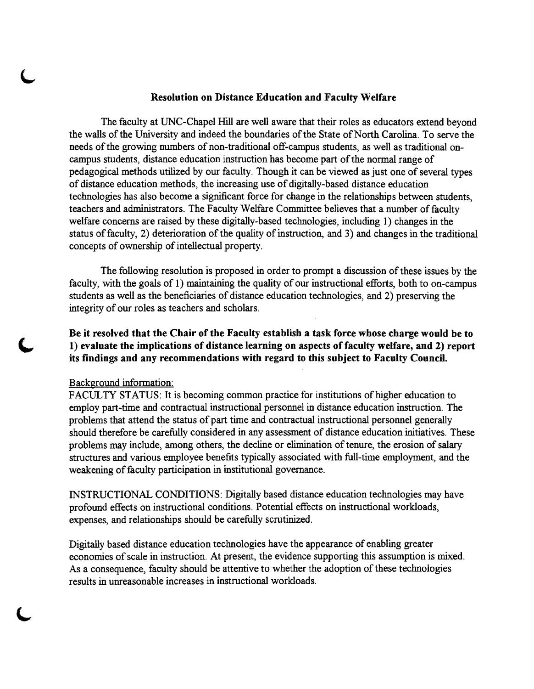## Resolution on Distance Education and Faculty Welfare

The faculty at UNC-Chapel Hill are well aware that their roles as educators extend beyond the walls of the University and indeed the boundaries of the State of North Carolina. To serve the needs of the growing numbers of non-traditional off-campus students, as well as traditional oncampus students, distance education instruction has become part of the normal range of pedagogical methods utilized by our faculty. Though it can be viewed as just one of several types of distance education methods, the increasing use of digitally-based distance education technologies has also become a significant force for change in the relationships between students, teachers and administrators. The Faculty Welfare Committee believes that a number of faculty welfare concerns are raised by these digitally-based technologies, including 1) changes in the status of faculty, 2) deterioration of the quality of instruction, and 3) and changes in the traditional concepts of ownership of intellectual property.

The following resolution is proposed in order to prompt a discussion of these issues by the faculty, with the goals of 1) maintaining the quality of our instructional efforts, both to on-campus students as well as the beneficiaries of distance education technologies, and 2) preserving the integrity of our roles as teachers and scholars.

Be it resolved that the Chair of the Faculty establish a task force whose charge would be to 1) evaluate the implications of distance learning on aspects of faculty welfare, and 2) report its findings and any recommendations with regard to this subject to Faculty Council.

## Background information:

FACULTY STATUS: It is becoming common practice for institutions of higher education to employ part-time and contractual instructional personnel in distance education instruction. The problems that attend the status of part time and contractual instructional personnel generally should therefore be carefully considered in any assessment of distance education initiatives. These problems may include, among others, the decline or elimination of tenure, the erosion of salary structures and various employee benefits typically associated with full-time employment, and the weakening of faculty participation in institutional governance.

INSTRUCTIONAL CONDITIONS: Digitally based distance education technologies may have profound effects on instructional conditions. Potential effects on instructional workloads, expenses, and relationships should be carefully scrutinized.

Digitally based distance education technologies have the appearance of enabling greater economies of scale in instruction. At present, the evidence supporting this assumption is mixed. As a consequence, faculty should be attentive to whether the adoption of these technologies results in unreasonable increases in instructional workloads.